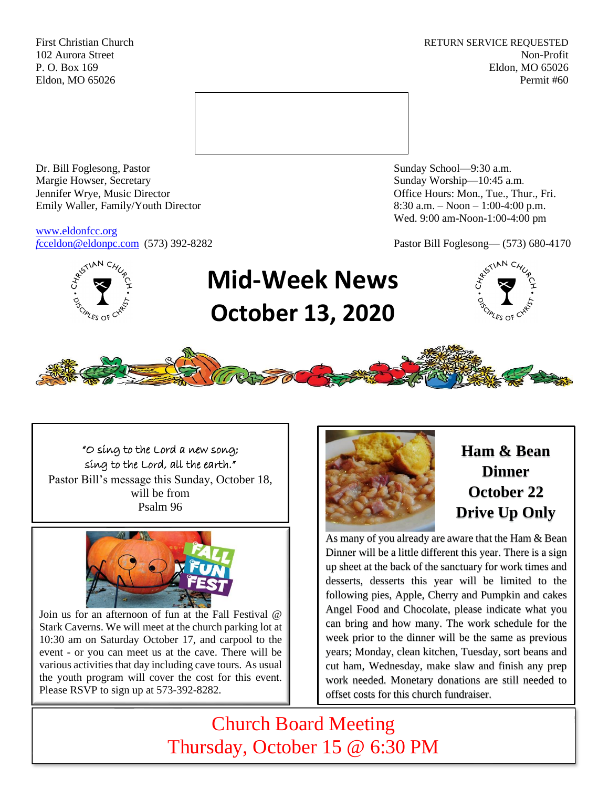First Christian Church **RETURN SERVICE REQUESTED** 102 Aurora Street Non-Profit P. O. Box 169 Eldon, MO 65026 Eldon, MO 65026 Permit #60



Dr. Bill Foglesong, Pastor Sunday School—9:30 a.m. Margie Howser, Secretary Sunday Worship—10:45 a.m. Jennifer Wrye, Music Director Office Hours: Mon., Tue., Thur., Fri. Emily Waller, Family/Youth Director 8:30 a.m. – Noon – 1:00-4:00 p.m.

[www.eldonfcc.org](http://www.eldonfcc.org/)

Wed. 9:00 am-Noon-1:00-4:00 pm

*f*[cceldon@eldonpc.com](mailto:fcceldon@eldonpc.com) (573) 392-8282 Pastor Bill Foglesong— (573) 680-4170



# **Mid-Week News October 13, 2020**





"O sing to the Lord a new song; sing to the Lord, all the earth." Pastor Bill's message this Sunday, October 18, will be from Psalm 96



Join us for an afternoon of fun at the Fall Festival @ Stark Caverns. We will meet at the church parking lot at 10:30 am on Saturday October 17, and carpool to the event - or you can meet us at the cave. There will be various activities that day including cave tours. As usual the youth program will cover the cost for this event. Please RSVP to sign up at 573-392-8282.



**Ham & Bean Dinner October 22 Drive Up Only**

As many of you already are aware that the Ham & Bean Dinner will be a little different this year. There is a sign up sheet at the back of the sanctuary for work times and desserts, desserts this year will be limited to the following pies, Apple, Cherry and Pumpkin and cakes Angel Food and Chocolate, please indicate what you can bring and how many. The work schedule for the week prior to the dinner will be the same as previous years; Monday, clean kitchen, Tuesday, sort beans and cut ham, Wednesday, make slaw and finish any prep work needed. Monetary donations are still needed to offset costs for this church fundraiser.

Church Board Meeting Thursday, October 15 @ 6:30 PM